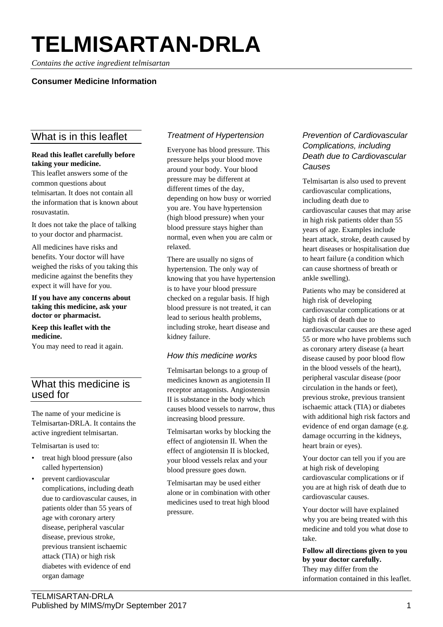# **TELMISARTAN-DRLA**

*Contains the active ingredient telmisartan*

# **Consumer Medicine Information**

# What is in this leaflet

#### **Read this leaflet carefully before taking your medicine.**

This leaflet answers some of the common questions about telmisartan. It does not contain all the information that is known about rosuvastatin.

It does not take the place of talking to your doctor and pharmacist.

All medicines have risks and benefits. Your doctor will have weighed the risks of you taking this medicine against the benefits they expect it will have for you.

**If you have any concerns about taking this medicine, ask your doctor or pharmacist.**

#### **Keep this leaflet with the medicine.**

You may need to read it again.

# What this medicine is used for

The name of your medicine is Telmisartan-DRLA. It contains the active ingredient telmisartan.

Telmisartan is used to:

- treat high blood pressure (also called hypertension)
- prevent cardiovascular complications, including death due to cardiovascular causes, in patients older than 55 years of age with coronary artery disease, peripheral vascular disease, previous stroke, previous transient ischaemic attack (TIA) or high risk diabetes with evidence of end organ damage

# *Treatment of Hypertension*

Everyone has blood pressure. This pressure helps your blood move around your body. Your blood pressure may be different at different times of the day, depending on how busy or worried you are. You have hypertension (high blood pressure) when your blood pressure stays higher than normal, even when you are calm or relaxed.

There are usually no signs of hypertension. The only way of knowing that you have hypertension is to have your blood pressure checked on a regular basis. If high blood pressure is not treated, it can lead to serious health problems, including stroke, heart disease and kidney failure.

# *How this medicine works*

Telmisartan belongs to a group of medicines known as angiotensin II receptor antagonists. Angiostensin II is substance in the body which causes blood vessels to narrow, thus increasing blood pressure.

Telmisartan works by blocking the effect of angiotensin II. When the effect of angiotensin II is blocked, your blood vessels relax and your blood pressure goes down.

Telmisartan may be used either alone or in combination with other medicines used to treat high blood pressure.

# *Prevention of Cardiovascular Complications, including Death due to Cardiovascular Causes*

Telmisartan is also used to prevent cardiovascular complications, including death due to cardiovascular causes that may arise in high risk patients older than 55 years of age. Examples include heart attack, stroke, death caused by heart diseases or hospitalisation due to heart failure (a condition which can cause shortness of breath or ankle swelling).

Patients who may be considered at high risk of developing cardiovascular complications or at high risk of death due to cardiovascular causes are these aged 55 or more who have problems such as coronary artery disease (a heart disease caused by poor blood flow in the blood vessels of the heart), peripheral vascular disease (poor circulation in the hands or feet), previous stroke, previous transient ischaemic attack (TIA) or diabetes with additional high risk factors and evidence of end organ damage (e.g. damage occurring in the kidneys, heart brain or eyes).

Your doctor can tell you if you are at high risk of developing cardiovascular complications or if you are at high risk of death due to cardiovascular causes.

Your doctor will have explained why you are being treated with this medicine and told you what dose to take.

**Follow all directions given to you by your doctor carefully.** They may differ from the information contained in this leaflet.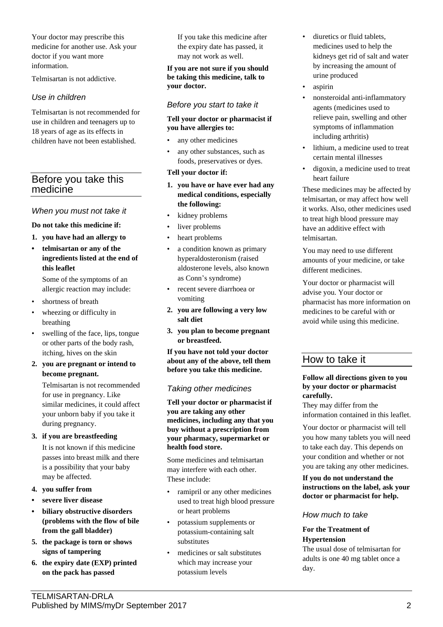Your doctor may prescribe this medicine for another use. Ask your doctor if you want more information.

Telmisartan is not addictive.

## *Use in children*

Telmisartan is not recommended for use in children and teenagers up to 18 years of age as its effects in children have not been established.

# Before you take this medicine

#### *When you must not take it*

#### **Do not take this medicine if:**

- **1. you have had an allergy to**
- **• telmisartan or any of the ingredients listed at the end of this leaflet**

Some of the symptoms of an allergic reaction may include:

- shortness of breath
- wheezing or difficulty in breathing
- swelling of the face, lips, tongue or other parts of the body rash, itching, hives on the skin
- **2. you are pregnant or intend to become pregnant.**

Telmisartan is not recommended for use in pregnancy. Like similar medicines, it could affect your unborn baby if you take it during pregnancy.

#### **3. if you are breastfeeding**

It is not known if this medicine passes into breast milk and there is a possibility that your baby may be affected.

#### **4. you suffer from**

- **• severe liver disease**
- **• biliary obstructive disorders (problems with the flow of bile from the gall bladder)**
- **5. the package is torn or shows signs of tampering**
- **6. the expiry date (EXP) printed on the pack has passed**

If you take this medicine after the expiry date has passed, it may not work as well.

#### **If you are not sure if you should be taking this medicine, talk to your doctor.**

#### *Before you start to take it*

#### **Tell your doctor or pharmacist if you have allergies to:**

- any other medicines
- any other substances, such as foods, preservatives or dyes.

#### **Tell your doctor if:**

- **1. you have or have ever had any medical conditions, especially the following:**
- kidney problems
- liver problems
- heart problems
- a condition known as primary hyperaldosteronism (raised aldosterone levels, also known as Conn's syndrome)
- recent severe diarrhoea or vomiting
- **2. you are following a very low salt diet**
- **3. you plan to become pregnant or breastfeed.**

**If you have not told your doctor about any of the above, tell them before you take this medicine.**

## *Taking other medicines*

**Tell your doctor or pharmacist if you are taking any other medicines, including any that you buy without a prescription from your pharmacy, supermarket or health food store.**

Some medicines and telmisartan may interfere with each other. These include:

- ramipril or any other medicines used to treat high blood pressure or heart problems
- potassium supplements or potassium-containing salt substitutes
- medicines or salt substitutes which may increase your potassium levels
- diuretics or fluid tablets, medicines used to help the kidneys get rid of salt and water by increasing the amount of urine produced
- aspirin
- nonsteroidal anti-inflammatory agents (medicines used to relieve pain, swelling and other symptoms of inflammation including arthritis)
- lithium, a medicine used to treat certain mental illnesses
- digoxin, a medicine used to treat heart failure

These medicines may be affected by telmisartan, or may affect how well it works. Also, other medicines used to treat high blood pressure may have an additive effect with telmisartan.

You may need to use different amounts of your medicine, or take different medicines.

Your doctor or pharmacist will advise you. Your doctor or pharmacist has more information on medicines to be careful with or avoid while using this medicine.

# How to take it

#### **Follow all directions given to you by your doctor or pharmacist carefully.**

They may differ from the information contained in this leaflet.

Your doctor or pharmacist will tell you how many tablets you will need to take each day. This depends on your condition and whether or not you are taking any other medicines.

**If you do not understand the instructions on the label, ask your doctor or pharmacist for help.**

#### *How much to take*

#### **For the Treatment of Hypertension**

The usual dose of telmisartan for adults is one 40 mg tablet once a day.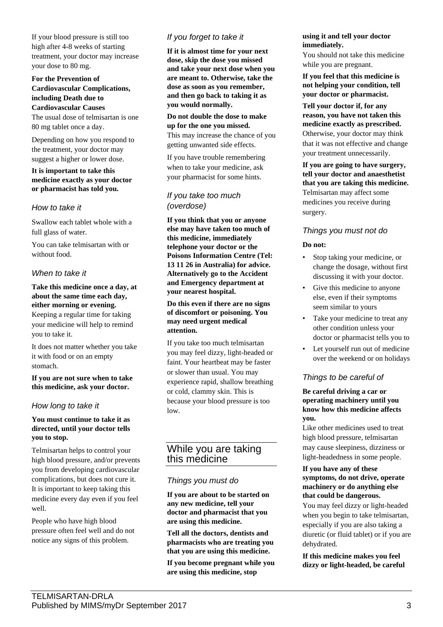If your blood pressure is still too high after 4-8 weeks of starting treatment, your doctor may increase your dose to 80 mg.

**For the Prevention of Cardiovascular Complications, including Death due to Cardiovascular Causes**

The usual dose of telmisartan is one 80 mg tablet once a day.

Depending on how you respond to the treatment, your doctor may suggest a higher or lower dose.

#### **It is important to take this medicine exactly as your doctor or pharmacist has told you.**

#### *How to take it*

Swallow each tablet whole with a full glass of water.

You can take telmisartan with or without food.

## *When to take it*

**Take this medicine once a day, at about the same time each day, either morning or evening.** Keeping a regular time for taking your medicine will help to remind you to take it.

It does not matter whether you take it with food or on an empty stomach.

**If you are not sure when to take this medicine, ask your doctor.**

## *How long to take it*

#### **You must continue to take it as directed, until your doctor tells you to stop.**

Telmisartan helps to control your high blood pressure, and/or prevents you from developing cardiovascular complications, but does not cure it. It is important to keep taking this medicine every day even if you feel well.

People who have high blood pressure often feel well and do not notice any signs of this problem.

# *If you forget to take it*

**If it is almost time for your next dose, skip the dose you missed and take your next dose when you are meant to. Otherwise, take the dose as soon as you remember, and then go back to taking it as you would normally.**

#### **Do not double the dose to make up for the one you missed.**

This may increase the chance of you getting unwanted side effects.

If you have trouble remembering when to take your medicine, ask your pharmacist for some hints.

## *If you take too much (overdose)*

**If you think that you or anyone else may have taken too much of this medicine, immediately telephone your doctor or the Poisons Information Centre (Tel: 13 11 26 in Australia) for advice. Alternatively go to the Accident and Emergency department at your nearest hospital.**

**Do this even if there are no signs of discomfort or poisoning. You may need urgent medical attention.**

If you take too much telmisartan you may feel dizzy, light-headed or faint. Your heartbeat may be faster or slower than usual. You may experience rapid, shallow breathing or cold, clammy skin. This is because your blood pressure is too low.

# While you are taking this medicine

#### *Things you must do*

**If you are about to be started on any new medicine, tell your doctor and pharmacist that you are using this medicine.**

**Tell all the doctors, dentists and pharmacists who are treating you that you are using this medicine.**

**If you become pregnant while you are using this medicine, stop** 

#### **using it and tell your doctor immediately.**

You should not take this medicine while you are pregnant.

**If you feel that this medicine is not helping your condition, tell your doctor or pharmacist.**

**Tell your doctor if, for any reason, you have not taken this medicine exactly as prescribed.** Otherwise, your doctor may think that it was not effective and change your treatment unnecessarily.

**If you are going to have surgery, tell your doctor and anaesthetist that you are taking this medicine.** Telmisartan may affect some medicines you receive during surgery.

# *Things you must not do*

#### **Do not:**

- Stop taking your medicine, or change the dosage, without first discussing it with your doctor.
- Give this medicine to anyone else, even if their symptoms seem similar to yours
- Take your medicine to treat any other condition unless your doctor or pharmacist tells you to
- Let yourself run out of medicine over the weekend or on holidays

# *Things to be careful of*

#### **Be careful driving a car or operating machinery until you know how this medicine affects you.**

Like other medicines used to treat high blood pressure, telmisartan may cause sleepiness, dizziness or light-headedness in some people.

#### **If you have any of these symptoms, do not drive, operate machinery or do anything else that could be dangerous.**

You may feel dizzy or light-headed when you begin to take telmisartan, especially if you are also taking a diuretic (or fluid tablet) or if you are dehydrated.

**If this medicine makes you feel dizzy or light-headed, be careful**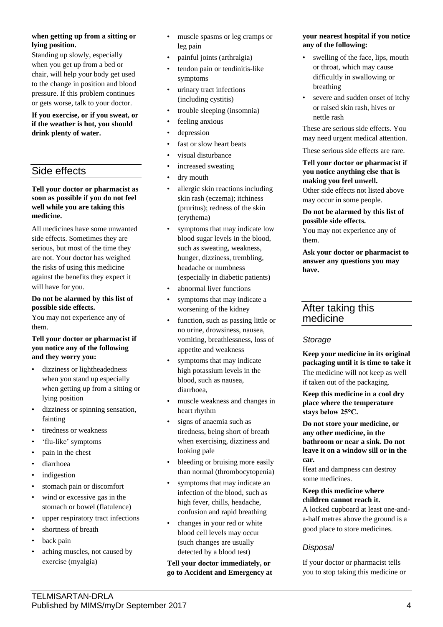#### **when getting up from a sitting or lying position.**

Standing up slowly, especially when you get up from a bed or chair, will help your body get used to the change in position and blood pressure. If this problem continues or gets worse, talk to your doctor.

**If you exercise, or if you sweat, or if the weather is hot, you should drink plenty of water.**

# Side effects

**Tell your doctor or pharmacist as soon as possible if you do not feel well while you are taking this medicine.**

All medicines have some unwanted side effects. Sometimes they are serious, but most of the time they are not. Your doctor has weighed the risks of using this medicine against the benefits they expect it will have for you.

#### **Do not be alarmed by this list of possible side effects.**

You may not experience any of them.

#### **Tell your doctor or pharmacist if you notice any of the following and they worry you:**

- dizziness or lightheadedness when you stand up especially when getting up from a sitting or lying position
- dizziness or spinning sensation, fainting
- tiredness or weakness
- 'flu-like' symptoms
- pain in the chest
- diarrhoea
- *indigestion*
- stomach pain or discomfort
- wind or excessive gas in the stomach or bowel (flatulence)
- upper respiratory tract infections
- shortness of breath
- back pain
- aching muscles, not caused by exercise (myalgia)
- muscle spasms or leg cramps or leg pain
- painful joints (arthralgia)
- tendon pain or tendinitis-like symptoms
- urinary tract infections (including cystitis)
- trouble sleeping (insomnia)
- feeling anxious
- depression
- fast or slow heart beats
- visual disturbance
- increased sweating
- dry mouth
- allergic skin reactions including skin rash (eczema); itchiness (pruritus); redness of the skin (erythema)
- symptoms that may indicate low blood sugar levels in the blood, such as sweating, weakness, hunger, dizziness, trembling, headache or numbness (especially in diabetic patients)
- abnormal liver functions
- symptoms that may indicate a worsening of the kidney
- function, such as passing little or no urine, drowsiness, nausea, vomiting, breathlessness, loss of appetite and weakness
- symptoms that may indicate high potassium levels in the blood, such as nausea, diarrhoea,
- muscle weakness and changes in heart rhythm
- signs of anaemia such as tiredness, being short of breath when exercising, dizziness and looking pale
- bleeding or bruising more easily than normal (thrombocytopenia)
- symptoms that may indicate an infection of the blood, such as high fever, chills, headache, confusion and rapid breathing
- changes in your red or white blood cell levels may occur (such changes are usually detected by a blood test)

## **Tell your doctor immediately, or go to Accident and Emergency at**

#### **your nearest hospital if you notice any of the following:**

- swelling of the face, lips, mouth or throat, which may cause difficultly in swallowing or breathing
- severe and sudden onset of itchy or raised skin rash, hives or nettle rash

These are serious side effects. You may need urgent medical attention.

These serious side effects are rare.

## **Tell your doctor or pharmacist if you notice anything else that is making you feel unwell.**

Other side effects not listed above may occur in some people.

**Do not be alarmed by this list of possible side effects.** You may not experience any of

them.

**Ask your doctor or pharmacist to answer any questions you may have.**

# After taking this medicine

## *Storage*

**Keep your medicine in its original packaging until it is time to take it** The medicine will not keep as well if taken out of the packaging.

**Keep this medicine in a cool dry place where the temperature stays below 25°C.**

**Do not store your medicine, or any other medicine, in the bathroom or near a sink. Do not leave it on a window sill or in the car.**

Heat and dampness can destroy some medicines.

#### **Keep this medicine where children cannot reach it.**

A locked cupboard at least one-anda-half metres above the ground is a good place to store medicines.

# *Disposal*

If your doctor or pharmacist tells you to stop taking this medicine or